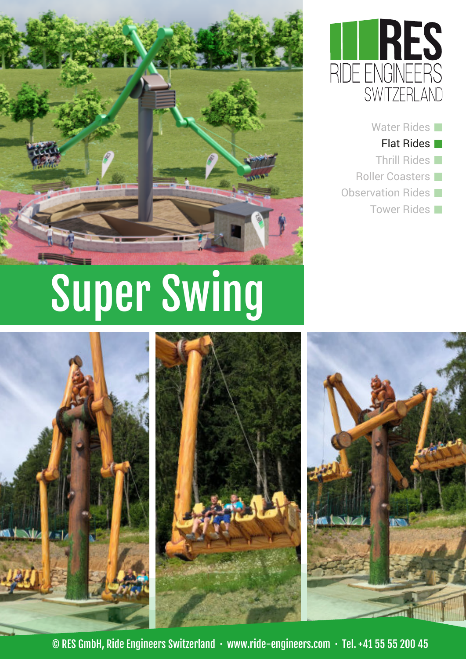





# Super Swing





© RES GmbH, Ride Engineers Switzerland · www.ride-engineers.com · Tel. +41 55 55 200 45